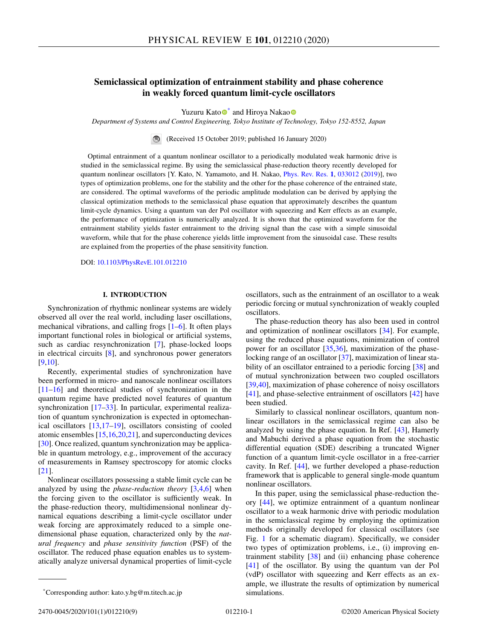# **Semiclassical optimization of entrainment stability and phase coherence in weakly forced quantum limit-cycle oscillators**

Yuzuru Kat[o](https://orcid.org/0000-0003-3394-0392)<sup>\*</sup> and Hiroya Nakao<sup>o</sup>

*Department of Systems and Control Engineering, Tokyo Institute of Technology, Tokyo 152-8552, Japan*

(Received 15 October 2019; published 16 January 2020)

Optimal entrainment of a quantum nonlinear oscillator to a periodically modulated weak harmonic drive is studied in the semiclassical regime. By using the semiclassical phase-reduction theory recently developed for quantum nonlinear oscillators [Y. Kato, N. Yamamoto, and H. Nakao, [Phys. Rev. Res.](https://doi.org/10.1103/PhysRevResearch.1.033012) **[1](https://doi.org/10.1103/PhysRevResearch.1.033012)**, [033012](https://doi.org/10.1103/PhysRevResearch.1.033012) [\(2019\)](https://doi.org/10.1103/PhysRevResearch.1.033012)], two types of optimization problems, one for the stability and the other for the phase coherence of the entrained state, are considered. The optimal waveforms of the periodic amplitude modulation can be derived by applying the classical optimization methods to the semiclassical phase equation that approximately describes the quantum limit-cycle dynamics. Using a quantum van der Pol oscillator with squeezing and Kerr effects as an example, the performance of optimization is numerically analyzed. It is shown that the optimized waveform for the entrainment stability yields faster entrainment to the driving signal than the case with a simple sinusoidal waveform, while that for the phase coherence yields little improvement from the sinusoidal case. These results are explained from the properties of the phase sensitivity function.

DOI: [10.1103/PhysRevE.101.012210](https://doi.org/10.1103/PhysRevE.101.012210)

## **I. INTRODUCTION**

Synchronization of rhythmic nonlinear systems are widely observed all over the real world, including laser oscillations, mechanical vibrations, and calling frogs [\[1–6\]](#page-7-0). It often plays important functional roles in biological or artificial systems, such as cardiac resynchronization [\[7\]](#page-7-0), phase-locked loops in electrical circuits [\[8\]](#page-7-0), and synchronous power generators [\[9,10\]](#page-7-0).

Recently, experimental studies of synchronization have been performed in micro- and nanoscale nonlinear oscillators [\[11–16\]](#page-7-0) and theoretical studies of synchronization in the quantum regime have predicted novel features of quantum synchronization [\[17–](#page-7-0)[33\]](#page-8-0). In particular, experimental realization of quantum synchronization is expected in optomechanical oscillators [\[13,17–19\]](#page-7-0), oscillators consisting of cooled atomic ensembles [\[15,16,20,21\]](#page-7-0), and superconducting devices [\[30\]](#page-8-0). Once realized, quantum synchronization may be applicable in quantum metrology, e.g., improvement of the accuracy of measurements in Ramsey spectroscopy for atomic clocks [\[21\]](#page-7-0).

Nonlinear oscillators possessing a stable limit cycle can be analyzed by using the *phase-reduction theory* [\[3,4,6\]](#page-7-0) when the forcing given to the oscillator is sufficiently weak. In the phase-reduction theory, multidimensional nonlinear dynamical equations describing a limit-cycle oscillator under weak forcing are approximately reduced to a simple onedimensional phase equation, characterized only by the *natural frequency* and *phase sensitivity function* (PSF) of the oscillator. The reduced phase equation enables us to systematically analyze universal dynamical properties of limit-cycle

oscillators, such as the entrainment of an oscillator to a weak periodic forcing or mutual synchronization of weakly coupled oscillators.

The phase-reduction theory has also been used in control and optimization of nonlinear oscillators [\[34\]](#page-8-0). For example, using the reduced phase equations, minimization of control power for an oscillator [\[35,36\]](#page-8-0), maximization of the phaselocking range of an oscillator [\[37\]](#page-8-0), maximization of linear sta-bility of an oscillator entrained to a periodic forcing [\[38\]](#page-8-0) and of mutual synchronization between two coupled oscillators [\[39,40\]](#page-8-0), maximization of phase coherence of noisy oscillators [\[41\]](#page-8-0), and phase-selective entrainment of oscillators [\[42\]](#page-8-0) have been studied.

Similarly to classical nonlinear oscillators, quantum nonlinear oscillators in the semiclassical regime can also be analyzed by using the phase equation. In Ref. [\[43\]](#page-8-0), Hamerly and Mabuchi derived a phase equation from the stochastic differential equation (SDE) describing a truncated Wigner function of a quantum limit-cycle oscillator in a free-carrier cavity. In Ref. [\[44\]](#page-8-0), we further developed a phase-reduction framework that is applicable to general single-mode quantum nonlinear oscillators.

In this paper, using the semiclassical phase-reduction theory [\[44\]](#page-8-0), we optimize entrainment of a quantum nonlinear oscillator to a weak harmonic drive with periodic modulation in the semiclassical regime by employing the optimization methods originally developed for classical oscillators (see Fig. [1](#page-1-0) for a schematic diagram). Specifically, we consider two types of optimization problems, i.e., (i) improving entrainment stability [\[38\]](#page-8-0) and (ii) enhancing phase coherence [\[41\]](#page-8-0) of the oscillator. By using the quantum van der Pol (vdP) oscillator with squeezing and Kerr effects as an example, we illustrate the results of optimization by numerical simulations.

<sup>\*</sup>Corresponding author: kato.y.bg@m.titech.ac.jp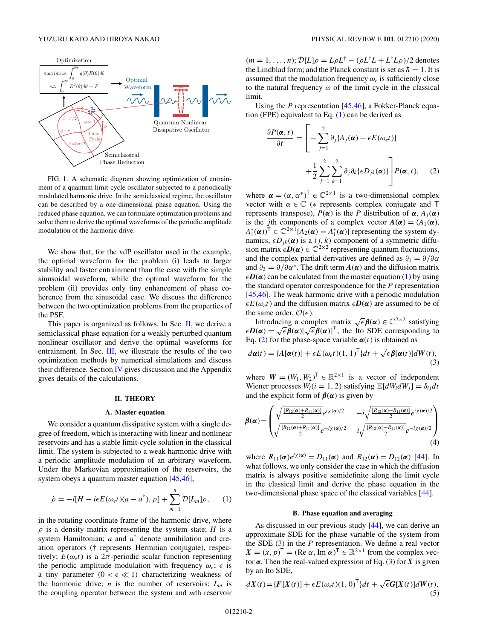<span id="page-1-0"></span>

FIG. 1. A schematic diagram showing optimization of entrainment of a quantum limit-cycle oscillator subjected to a periodically modulated harmonic drive. In the semiclassical regime, the oscillator can be described by a one-dimensional phase equation. Using the reduced phase equation, we can formulate optimization problems and solve them to derive the optimal waveforms of the periodic amplitude modulation of the harmonic drive.

We show that, for the vdP oscillator used in the example, the optimal waveform for the problem (i) leads to larger stability and faster entrainment than the case with the simple sinusoidal waveform, while the optimal waveform for the problem (ii) provides only tiny enhancement of phase coherence from the sinusoidal case. We discuss the difference between the two optimization problems from the properties of the PSF.

This paper is organized as follows. In Sec. II, we derive a semiclassical phase equation for a weakly perturbed quantum nonlinear oscillator and derive the optimal waveforms for entrainment. In Sec. [III,](#page-3-0) we illustrate the results of the two optimization methods by numerical simulations and discuss their difference. Section [IV](#page-6-0) gives discussion and the Appendix gives details of the calculations.

### **II. THEORY**

#### **A. Master equation**

We consider a quantum dissipative system with a single degree of freedom, which is interacting with linear and nonlinear reservoirs and has a stable limit-cycle solution in the classical limit. The system is subjected to a weak harmonic drive with a periodic amplitude modulation of an arbitrary waveform. Under the Markovian approximation of the reservoirs, the system obeys a quantum master equation [\[45,46\]](#page-8-0),

$$
\dot{\rho} = -i[H - i\epsilon E(\omega_e t)(a - a^{\dagger}), \rho] + \sum_{m=1}^{n} \mathcal{D}[L_m]\rho, \qquad (1)
$$

in the rotating coordinate frame of the harmonic drive, where  $\rho$  is a density matrix representing the system state; *H* is a system Hamiltonian; *a* and *a*† denote annihilation and creation operators († represents Hermitian conjugate), respectively;  $E(\omega_e t)$  is a  $2\pi$ -periodic scalar function representing the periodic amplitude modulation with frequency  $\omega_e$ ;  $\epsilon$  is a tiny parameter  $(0 < \epsilon \ll 1)$  characterizing weakness of the harmonic drive; *n* is the number of reservoirs;  $L_m$  is the coupling operator between the system and *m*th reservoir  $(m = 1, \ldots, n);$   $\mathcal{D}[L]\rho = L\rho L^{\dagger} - (\rho L^{\dagger}L + L^{\dagger}L\rho)/2$  denotes the Lindblad form; and the Planck constant is set as  $\hbar = 1$ . It is assumed that the modulation frequency  $\omega_e$  is sufficiently close to the natural frequency  $\omega$  of the limit cycle in the classical limit.

Using the *P* representation [\[45,46\]](#page-8-0), a Fokker-Planck equation (FPE) equivalent to Eq. (1) can be derived as

$$
\frac{\partial P(\boldsymbol{\alpha},t)}{\partial t} = \left[ -\sum_{j=1}^{2} \partial_{j} \{ A_{j}(\boldsymbol{\alpha}) + \epsilon E(\omega_{e}t) \} + \frac{1}{2} \sum_{j=1}^{2} \sum_{k=1}^{2} \partial_{j} \partial_{k} \{ \epsilon D_{jk}(\boldsymbol{\alpha}) \} \right] P(\boldsymbol{\alpha},t), \quad (2)
$$

where  $\alpha = (\alpha, \alpha^*)^T \in \mathbb{C}^{2 \times 1}$  is a two-dimensional complex vector with  $\alpha \in \mathbb{C}$  (\* represents complex conjugate and T represents transpose),  $P(α)$  is the *P* distribution of  $α$ ,  $A_j(α)$ is the *j*th components of a complex vector  $A(\alpha) = (A_1(\alpha))$ ,  $(A_1^*(\alpha))^T \in \mathbb{C}^{2 \times 1}[A_2(\alpha) = A_1^*(\alpha)]$  representing the system dynamics,  $\epsilon D_{jk}(\alpha)$  is a  $(j, k)$  component of a symmetric diffusion matrix  $\epsilon \mathbf{D}(\alpha) \in \mathbb{C}^{2 \times 2}$  representing quantum fluctuations, and the complex partial derivatives are defined as  $\partial_1 = \partial/\partial \alpha$ and  $\partial_2 = \partial/\partial \alpha^*$ . The drift term  $A(\alpha)$  and the diffusion matrix  $\epsilon D(\alpha)$  can be calculated from the master equation (1) by using the standard operator correspondence for the *P* representation [\[45,46\]](#page-8-0). The weak harmonic drive with a periodic modulation  $\epsilon E(\omega_e t)$  and the diffusion matrix  $\epsilon \mathbf{D}(\alpha)$  are assumed to be of the same order,  $\mathcal{O}(\epsilon)$ .

Introducing a complex matrix  $\sqrt{\epsilon} \beta(\alpha) \in \mathbb{C}^{2 \times 2}$  satisfying  $\epsilon \mathbf{D}(\alpha) = \sqrt{\epsilon} \beta(\alpha) [\sqrt{\epsilon} \beta(\alpha)]^T$ , the Ito SDE corresponding to Eq. (2) for the phase-space variable  $\alpha(t)$  is obtained as

$$
d\boldsymbol{\alpha}(t) = \{A[\boldsymbol{\alpha}(t)] + \epsilon E(\omega_e t)(1, 1)^{\text{T}}\}dt + \sqrt{\epsilon}\boldsymbol{\beta}[\boldsymbol{\alpha}(t)]dW(t),
$$
\n(3)

where  $W = (W_1, W_2)^T \in \mathbb{R}^{2 \times 1}$  is a vector of independent Wiener processes  $W_i(i = 1, 2)$  satisfying  $\mathbb{E}[dW_i dW_j] = \delta_{ij} dt$ and the explicit form of  $\beta(\alpha)$  is given by

$$
\beta(\alpha) = \begin{pmatrix}\n\sqrt{\frac{[R_{12}(\alpha) + R_{11}(\alpha)]}{2}} e^{i\chi(\alpha)/2} & -i\sqrt{\frac{[R_{12}(\alpha) - R_{11}(\alpha)]}{2}} e^{i\chi(\alpha)/2} \\
\sqrt{\frac{[R_{12}(\alpha) + R_{11}(\alpha)]}{2}} e^{-i\chi(\alpha)/2} & i\sqrt{\frac{[R_{12}(\alpha) - R_{11}(\alpha)]}{2}} e^{-i\chi(\alpha)/2}\n\end{pmatrix}
$$
\n(4)

where  $R_{11}(\alpha)e^{i\chi(\alpha)} = D_{11}(\alpha)$  and  $R_{12}(\alpha) = D_{12}(\alpha)$  [\[44\]](#page-8-0). In what follows, we only consider the case in which the diffusion matrix is always positive semidefinite along the limit cycle in the classical limit and derive the phase equation in the two-dimensional phase space of the classical variables [\[44\]](#page-8-0).

#### **B. Phase equation and averaging**

As discussed in our previous study [\[44\]](#page-8-0), we can derive an approximate SDE for the phase variable of the system from the SDE (3) in the *P* representation. We define a real vector  $X = (x, p)^{\mathsf{T}} = (\text{Re }\alpha, \text{Im }\alpha)^{\mathsf{T}} \in \mathbb{R}^{2 \times 1}$  from the complex vector  $\alpha$ . Then the real-valued expression of Eq. (3) for *X* is given by an Ito SDE,

$$
dX(t) = \{F[X(t)] + \epsilon E(\omega_e t)(1,0)^T\}dt + \sqrt{\epsilon}G[X(t)]dW(t),
$$
\n(5)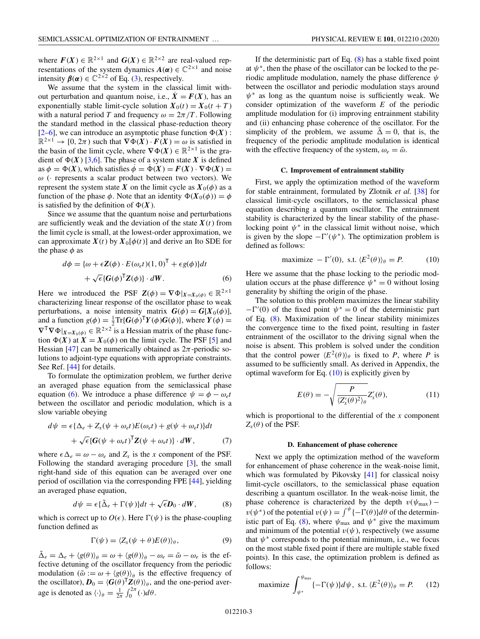<span id="page-2-0"></span>where  $F(X) \in \mathbb{R}^{2 \times 1}$  and  $G(X) \in \mathbb{R}^{2 \times 2}$  are real-valued representations of the system dynamics  $A(\alpha) \in \mathbb{C}^{2 \times 1}$  and noise intensity  $\beta(\alpha) \in \mathbb{C}^{2 \times 2}$  of Eq. [\(3\)](#page-1-0), respectively.

We assume that the system in the classical limit without perturbation and quantum noise, i.e.,  $\dot{X} = F(X)$ , has an exponentially stable limit-cycle solution  $X_0(t) = X_0(t + T)$ with a natural period *T* and frequency  $\omega = 2\pi/T$ . Following the standard method in the classical phase-reduction theory  $[2-6]$ , we can introduce an asymptotic phase function  $\Phi(X)$ :  $\mathbb{R}^{2 \times 1} \to [0, 2\pi)$  such that  $\nabla \Phi(\overline{X}) \cdot \overline{F(X)} = \omega$  is satisfied in the basin of the limit cycle, where  $\nabla \Phi(X) \in \mathbb{R}^{2 \times 1}$  is the gradient of  $\Phi(X)$  [\[3,6\]](#page-7-0). The phase of a system state X is defined as  $\phi = \Phi(X)$ , which satisfies  $\dot{\phi} = \dot{\Phi}(X) = F(X) \cdot \nabla \Phi(X) =$  $\omega$  ( $\cdot$  represents a scalar product between two vectors). We represent the system state *X* on the limit cycle as  $X_0(\phi)$  as a function of the phase  $\phi$ . Note that an identity  $\Phi(X_0(\phi)) = \phi$ is satisfied by the definition of  $\Phi(X)$ .

Since we assume that the quantum noise and perturbations are sufficiently weak and the deviation of the state  $X(t)$  from the limit cycle is small, at the lowest-order approximation, we can approximate  $X(t)$  by  $X_0[\phi(t)]$  and derive an Ito SDE for the phase  $\phi$  as

$$
d\phi = {\omega + \epsilon \mathbf{Z}(\phi) \cdot E(\omega_e t)(1, 0)^{\mathsf{T}} + \epsilon g(\phi)}dt + \sqrt{\epsilon} {\mathbf{G}(\phi)^{\mathsf{T}} \mathbf{Z}(\phi)} \cdot dW.
$$
 (6)

Here we introduced the PSF  $Z(\phi) = \nabla \Phi|_{X=X_0(\phi)} \in \mathbb{R}^{2 \times 1}$ characterizing linear response of the oscillator phase to weak perturbations, a noise intensity matrix  $G(\phi) = G[X_0(\phi)],$ and a function  $g(\phi) = \frac{1}{2} \text{Tr} \{ G(\phi)^{\mathsf{T}} Y(\phi) G(\phi) \}$ , where  $Y(\phi) =$  $\nabla^{\mathsf{T}} \nabla \Phi |_{X=X_0(\phi)} \in \mathbb{R}^{2 \times 2}$  is a Hessian matrix of the phase function  $\Phi(X)$  at  $X = X_0(\phi)$  on the limit cycle. The PSF [\[5\]](#page-7-0) and Hessian [\[47\]](#page-8-0) can be numerically obtained as  $2\pi$ -periodic solutions to adjoint-type equations with appropriate constraints. See Ref. [\[44\]](#page-8-0) for details.

To formulate the optimization problem, we further derive an averaged phase equation from the semiclassical phase equation (6). We introduce a phase difference  $\psi = \phi - \omega_e t$ between the oscillator and periodic modulation, which is a slow variable obeying

$$
d\psi = \epsilon \{\Delta_e + Z_x(\psi + \omega_e t)E(\omega_e t) + g(\psi + \omega_e t)\}dt
$$
  
+ 
$$
\sqrt{\epsilon} \{G(\psi + \omega_e t)^{\mathsf{T}} Z(\psi + \omega_e t)\} \cdot dW,
$$
 (7)

where  $\epsilon \Delta_e = \omega - \omega_e$  and  $Z_x$  is the *x* component of the PSF. Following the standard averaging procedure [\[3\]](#page-7-0), the small right-hand side of this equation can be averaged over one period of oscillation via the corresponding FPE [\[44\]](#page-8-0), yielding an averaged phase equation,

$$
d\psi = \epsilon \{\tilde{\Delta}_e + \Gamma(\psi)\} dt + \sqrt{\epsilon} D_0 \cdot dW, \tag{8}
$$

which is correct up to  $O(\epsilon)$ . Here  $\Gamma(\psi)$  is the phase-coupling function defined as

$$
\Gamma(\psi) = \langle Z_x(\psi + \theta) E(\theta) \rangle_{\theta}, \tag{9}
$$

 $\Delta_e = \Delta_e + \langle g(\theta) \rangle_\theta = \omega + \langle g(\theta) \rangle_\theta - \omega_e = \tilde{\omega} - \omega_e$  is the effective detuning of the oscillator frequency from the periodic modulation ( $\tilde{\omega} := \omega + \langle g(\theta) \rangle_{\theta}$  is the effective frequency of the oscillator),  $D_0 = \langle G(\theta)^T Z(\theta) \rangle_{\theta}$ , and the one-period average is denoted as  $\langle \cdot \rangle_{\theta} = \frac{1}{2\pi} \int_0^{2\pi} (\cdot) d\theta$ .

If the deterministic part of Eq.  $(8)$  has a stable fixed point at  $\psi^*$ , then the phase of the oscillator can be locked to the periodic amplitude modulation, namely the phase difference  $\psi$ between the oscillator and periodic modulation stays around  $\psi^*$  as long as the quantum noise is sufficiently weak. We consider optimization of the waveform *E* of the periodic amplitude modulation for (i) improving entrainment stability and (ii) enhancing phase coherence of the oscillator. For the simplicity of the problem, we assume  $\tilde{\Delta} = 0$ , that is, the frequency of the periodic amplitude modulation is identical with the effective frequency of the system,  $\omega_e = \tilde{\omega}$ .

### **C. Improvement of entrainment stability**

First, we apply the optimization method of the waveform for stable entrainment, formulated by Zlotnik *et al.* [\[38\]](#page-8-0) for classical limit-cycle oscillators, to the semiclassical phase equation describing a quantum oscillator. The entrainment stability is characterized by the linear stability of the phaselocking point  $\psi^*$  in the classical limit without noise, which is given by the slope  $-\Gamma'(\psi^*)$ . The optimization problem is defined as follows:

$$
\text{maximize } -\Gamma'(0), \text{ s.t. } \langle E^2(\theta) \rangle_\theta = P. \tag{10}
$$

Here we assume that the phase locking to the periodic modulation occurs at the phase difference  $\psi^* = 0$  without losing generality by shifting the origin of the phase.

The solution to this problem maximizes the linear stability  $-\Gamma'(0)$  of the fixed point  $\psi^* = 0$  of the deterministic part of Eq. (8). Maximization of the linear stability minimizes the convergence time to the fixed point, resulting in faster entrainment of the oscillator to the driving signal when the noise is absent. This problem is solved under the condition that the control power  $\langle E^2(\theta) \rangle_\theta$  is fixed to *P*, where *P* is assumed to be sufficiently small. As derived in Appendix, the optimal waveform for Eq.  $(10)$  is explicitly given by

$$
E(\theta) = -\sqrt{\frac{P}{\langle Z'_x(\theta)^2 \rangle_{\theta}}} Z'_x(\theta), \tag{11}
$$

which is proportional to the differential of the *x* component  $Z_x(\theta)$  of the PSF.

#### **D. Enhancement of phase coherence**

Next we apply the optimization method of the waveform for enhancement of phase coherence in the weak-noise limit, which was formulated by Pikovsky [\[41\]](#page-8-0) for classical noisy limit-cycle oscillators, to the semiclassical phase equation describing a quantum oscillator. In the weak-noise limit, the phase coherence is characterized by the depth  $v(\psi_{\text{max}})$  –  $v(\psi^*)$  of the potential  $v(\psi) = \int^{\psi} {\{-\Gamma(\theta)\}} d\theta$  of the deterministic part of Eq. (8), where  $\psi_{\text{max}}$  and  $\psi^*$  give the maximum and minimum of the potential  $v(\psi)$ , respectively (we assume that  $\psi^*$  corresponds to the potential minimum, i.e., we focus on the most stable fixed point if there are multiple stable fixed points). In this case, the optimization problem is defined as follows:

maximize 
$$
\int_{\psi^*}^{\psi_{\text{max}}} \{-\Gamma(\psi)\} d\psi
$$
, s.t.  $\langle E^2(\theta) \rangle_{\theta} = P.$  (12)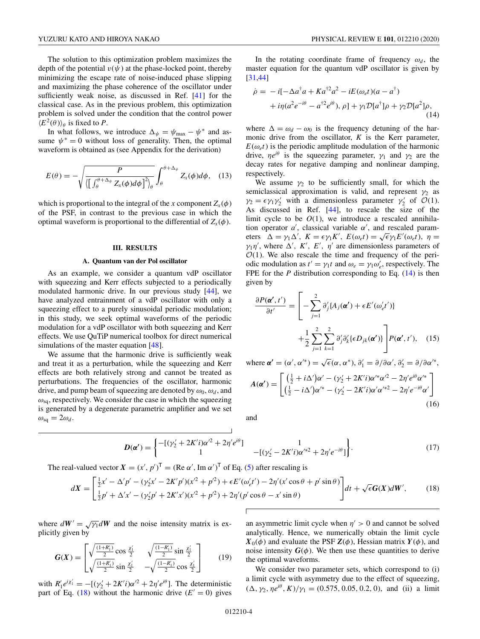<span id="page-3-0"></span>The solution to this optimization problem maximizes the depth of the potential  $v(\psi)$  at the phase-locked point, thereby minimizing the escape rate of noise-induced phase slipping and maximizing the phase coherence of the oscillator under sufficiently weak noise, as discussed in Ref. [\[41\]](#page-8-0) for the classical case. As in the previous problem, this optimization problem is solved under the condition that the control power  $\langle E^2(\theta) \rangle_\theta$  is fixed to *P*.

In what follows, we introduce  $\Delta_{\psi} = \psi_{\text{max}} - \psi^*$  and assume  $\psi^* = 0$  without loss of generality. Then, the optimal waveform is obtained as (see Appendix for the derivation)

$$
E(\theta) = -\sqrt{\frac{P}{\left\langle \left[\int_{\theta}^{\theta + \Delta_{\psi}} Z_{x}(\phi) d\phi\right]^{2} \right\rangle_{\theta}}}\int_{\theta}^{\theta + \Delta_{\psi}} Z_{x}(\phi) d\phi, \quad (13)
$$

which is proportional to the integral of the *x* component  $Z_{x}(\phi)$ of the PSF, in contrast to the previous case in which the optimal waveform is proportional to the differential of  $Z_x(\phi)$ .

#### **III. RESULTS**

#### **A. Quantum van der Pol oscillator**

As an example, we consider a quantum vdP oscillator with squeezing and Kerr effects subjected to a periodically modulated harmonic drive. In our previous study [\[44\]](#page-8-0), we have analyzed entrainment of a vdP oscillator with only a squeezing effect to a purely sinusoidal periodic modulation; in this study, we seek optimal waveforms of the periodic modulation for a vdP oscillator with both squeezing and Kerr effects. We use QuTiP numerical toolbox for direct numerical simulations of the master equation [\[48\]](#page-8-0).

We assume that the harmonic drive is sufficiently weak and treat it as a perturbation, while the squeezing and Kerr effects are both relatively strong and cannot be treated as perturbations. The frequencies of the oscillator, harmonic drive, and pump beam of squeezing are denoted by  $\omega_0$ ,  $\omega_d$ , and  $\omega_{sa}$ , respectively. We consider the case in which the squeezing is generated by a degenerate parametric amplifier and we set  $\omega_{\text{sq}} = 2\omega_d$ .

In the rotating coordinate frame of frequency  $\omega_d$ , the master equation for the quantum vdP oscillator is given by [\[31,44\]](#page-8-0)

$$
\dot{\rho} = -i[-\Delta a^{\dagger} a + Ka^{\dagger 2} a^2 - iE(\omega_e t)(a - a^{\dagger})
$$
  
+  $i\eta(a^2 e^{-i\theta} - a^{\dagger 2} e^{i\theta}), \rho] + \gamma_1 \mathcal{D}[a^{\dagger}]\rho + \gamma_2 \mathcal{D}[a^2]\rho,$  (14)

where  $\Delta = \omega_d - \omega_0$  is the frequency detuning of the harmonic drive from the oscillator, *K* is the Kerr parameter,  $E(\omega_e t)$  is the periodic amplitude modulation of the harmonic drive,  $\eta e^{i\theta}$  is the squeezing parameter,  $\gamma_1$  and  $\gamma_2$  are the decay rates for negative damping and nonlinear damping, respectively.

We assume  $\gamma_2$  to be sufficiently small, for which the semiclassical approximation is valid, and represent  $\gamma_2$  as  $\gamma_2 = \epsilon \gamma_1 \gamma_2'$  with a dimensionless parameter  $\gamma_2'$  of  $\mathcal{O}(1)$ . As discussed in Ref. [\[44\]](#page-8-0), to rescale the size of the limit cycle to be  $O(1)$ , we introduce a rescaled annihilation operator  $a'$ , classical variable  $\alpha'$ , and rescaled paramtion operator *a*, classical variable *α*, and rescaled parameters  $Δ = γ_1Δ'$ ,  $K = εγ_1K'$ ,  $E(ω_e t) = \sqrt{εγ_1E' (ω_e t)}$ ,  $η =$  $\gamma_1 \eta'$ , where  $\Delta'$ , *K'*, *E'*,  $\eta'$  are dimensionless parameters of  $\mathcal{O}(1)$ . We also rescale the time and frequency of the periodic modulation as  $t' = \gamma_1 t$  and  $\omega_e = \gamma_1 \omega'_e$ , respectively. The FPE for the *P* distribution corresponding to Eq. (14) is then given by

$$
\frac{\partial P(\boldsymbol{\alpha}',t')}{\partial t'} = \left[ -\sum_{j=1}^{2} \partial'_{j} \{ A_{j}(\boldsymbol{\alpha}') + \epsilon E'(\omega'_{\epsilon}t') \} + \frac{1}{2} \sum_{j=1}^{2} \sum_{k=1}^{2} \partial'_{j} \partial'_{k} \{ \epsilon D_{jk}(\boldsymbol{\alpha}') \} \right] P(\boldsymbol{\alpha}',t'), \quad (15)
$$

where  $\alpha' = (\alpha', \alpha'^*) = \sqrt{\epsilon}(\alpha, \alpha^*)$ ,  $\partial'_1 = \partial/\partial \alpha', \partial'_2 = \partial/\partial \alpha'^*$ ,  $A(\alpha') =$  $\int \left( \frac{1}{2} + i \Delta' \right) \alpha' - (\gamma_2' + 2K'i) \alpha'^* \alpha'^2 - 2 \eta' e^{i\theta} \alpha'^*$  $\left(\frac{1}{2} - i\Delta'\right)\alpha^{\prime*} - \left(\gamma_2' - 2K'i\right)\alpha'\alpha^{\prime*2} - 2\eta'e^{-i\theta}\alpha'$ ٦

(16)

and

$$
\boldsymbol{D}(\boldsymbol{\alpha}') = \begin{cases} -[(\gamma_2' + 2K'i)\alpha'^2 + 2\eta' e^{i\theta}] & 1\\ 1 & -[(\gamma_2' - 2K'i)\alpha'^{*2} + 2\eta' e^{-i\theta}] \end{cases}
$$
(17)

The real-valued vector  $X = (x', p')^T = (\text{Re }\alpha', \text{Im }\alpha')^T$  of Eq. [\(5\)](#page-1-0) after rescaling is

$$
dX = \begin{bmatrix} \frac{1}{2}x' - \Delta' p' - (\gamma_2' x' - 2K' p')(x'^2 + p'^2) + \epsilon E'(\omega_e' t') - 2\eta' (x' \cos \theta + p' \sin \theta) \\ \frac{1}{2}p' + \Delta' x' - (\gamma_2' p' + 2K' x')(x'^2 + p'^2) + 2\eta' (p' \cos \theta - x' \sin \theta) \end{bmatrix} dt + \sqrt{\epsilon} G(X) dW',
$$
(18)

where  $dW' = \sqrt{\gamma_1} dW$  and the noise intensity matrix is explicitly given by

$$
G(X) = \begin{bmatrix} \sqrt{\frac{(1+R_1')}{2}} \cos \frac{\chi_1'}{2} & \sqrt{\frac{(1-R_1')}{2}} \sin \frac{\chi_1'}{2} \\ \sqrt{\frac{(1+R_1')}{2}} \sin \frac{\chi_1'}{2} & -\sqrt{\frac{(1-R_1')}{2}} \cos \frac{\chi_1'}{2} \end{bmatrix}
$$
(19)

with  $R'_1e^{i\chi'_1} = -[(\gamma'_2 + 2K'i)\alpha'^2 + 2\eta'e^{i\theta}]$ . The deterministic part of Eq. (18) without the harmonic drive  $(E'=0)$  gives an asymmetric limit cycle when  $\eta' > 0$  and cannot be solved analytically. Hence, we numerically obtain the limit cycle  $X_0(\phi)$  and evaluate the PSF  $Z(\phi)$ , Hessian matrix  $Y(\phi)$ , and noise intensity  $G(\phi)$ . We then use these quantities to derive the optimal waveforms.

We consider two parameter sets, which correspond to (i) a limit cycle with asymmetry due to the effect of squeezing,  $(\Delta, \gamma_2, \eta e^{i\theta}, K)/\gamma_1 = (0.575, 0.05, 0.2, 0)$ , and (ii) a limit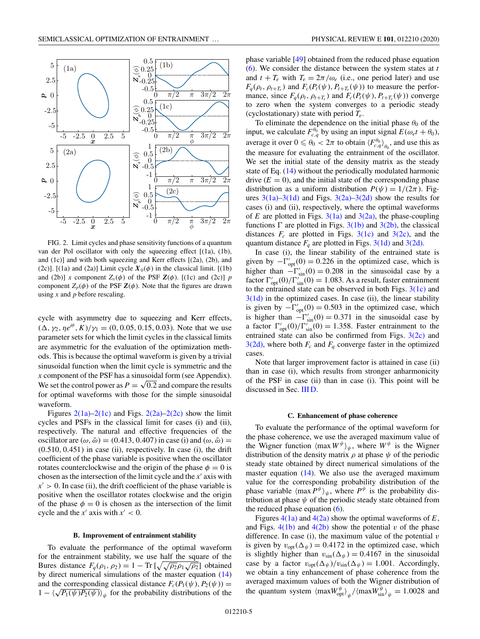<span id="page-4-0"></span>

FIG. 2. Limit cycles and phase sensitivity functions of a quantum van der Pol oscillator with only the squeezing effect [(1a), (1b), and (1c)] and with both squeezing and Kerr effects [(2a), (2b), and (2c)]. [(1a) and (2a)] Limit cycle  $X_0(\phi)$  in the classical limit. [(1b) and (2b)] *x* component  $Z_x(\phi)$  of the PSF  $\mathbf{Z}(\phi)$ . [(1c) and (2c)] *p* component  $Z_p(\phi)$  of the PSF  $\mathbf{Z}(\phi)$ . Note that the figures are drawn using *x* and *p* before rescaling.

cycle with asymmetry due to squeezing and Kerr effects,  $(\Delta, \gamma_2, \eta e^{i\theta}, K)/\gamma_1 = (0, 0.05, 0.15, 0.03)$ . Note that we use parameter sets for which the limit cycles in the classical limits are asymmetric for the evaluation of the optimization methods. This is because the optimal waveform is given by a trivial sinusoidal function when the limit cycle is symmetric and the *x* component of the PSF has a sinusoidal form (see Appendix). We set the control power as  $P = \sqrt{0.2}$  and compare the results for optimal waveforms with those for the simple sinusoidal waveform.

Figures  $2(1a)-2(1c)$  and Figs.  $2(2a)-2(2c)$  show the limit cycles and PSFs in the classical limit for cases (i) and (ii), respectively. The natural and effective frequencies of the oscillator are  $(\omega, \tilde{\omega}) = (0.413, 0.407)$  in case (i) and  $(\omega, \tilde{\omega}) =$  $(0.510, 0.451)$  in case (ii), respectively. In case (i), the drift coefficient of the phase variable is positive when the oscillator rotates counterclockwise and the origin of the phase  $\phi = 0$  is chosen as the intersection of the limit cycle and the  $x'$  axis with  $x\prime > 0$ . In case (ii), the drift coefficient of the phase variable is positive when the oscillator rotates clockwise and the origin of the phase  $\phi = 0$  is chosen as the intersection of the limit cycle and the  $x'$  axis with  $x' < 0$ .

#### **B. Improvement of entrainment stability**

To evaluate the performance of the optimal waveform for the entrainment stability, we use half the square of the Bures distance  $F_q(\rho_1, \rho_2) = 1 - \text{Tr} \left[ \sqrt{\sqrt{\rho_2} \rho_1 \sqrt{\rho_2}} \right]$  obtained by direct numerical simulations of the master equation [\(14\)](#page-3-0) and the corresponding classical distance  $F_c(P_1(\psi), P_2(\psi)) =$  $1 - \langle \sqrt{P_1(\psi)P_2(\psi)} \rangle_{\psi}$  for the probability distributions of the phase variable [\[49\]](#page-8-0) obtained from the reduced phase equation [\(6\)](#page-2-0). We consider the distance between the system states at *t* and  $t + T_e$  with  $T_e = 2\pi/\omega_e$  (i.e., one period later) and use  $F_q(\rho_t, \rho_{t+T_e})$  and  $F_c(P_t(\psi), P_{t+T_e}(\psi))$  to measure the performance, since  $F_q(\rho_t, \rho_{t+T_e})$  and  $F_c(P_t(\psi), P_{t+T_e}(\psi))$  converge to zero when the system converges to a periodic steady (cyclostationary) state with period *Te*.

To eliminate the dependence on the initial phase  $\theta_0$  of the input, we calculate  $F_{c,q}^{\theta_0}$  by using an input signal  $E(\omega_e t + \theta_0)$ , average it over  $0 \le \theta_0 < 2\pi$  to obtain  $\langle F_{c,q}^{\theta_0} \rangle_{\theta_0}$ , and use this as the measure for evaluating the entrainment of the oscillator. We set the initial state of the density matrix as the steady state of Eq. [\(14\)](#page-3-0) without the periodically modulated harmonic drive  $(E = 0)$ , and the initial state of the corresponding phase distribution as a uniform distribution  $P(\psi) = 1/(2\pi)$ . Figures  $3(1a) - 3(1d)$  and Figs.  $3(2a) - 3(2d)$  show the results for cases (i) and (ii), respectively, where the optimal waveforms of *E* are plotted in Figs.  $3(1a)$  and  $3(2a)$ , the phase-coupling functions  $\Gamma$  are plotted in Figs. [3\(1b\)](#page-5-0) and [3\(2b\),](#page-5-0) the classical distances  $F_c$  are plotted in Figs. [3\(1c\)](#page-5-0) and [3\(2c\),](#page-5-0) and the quantum distance  $F_q$  are plotted in Figs. [3\(1d\)](#page-5-0) and [3\(2d\).](#page-5-0)

In case (i), the linear stability of the entrained state is given by  $-\Gamma'_{opt}(0) = 0.226$  in the optimized case, which is higher than  $-\Gamma'_{\text{sin}}(0) = 0.208$  in the sinusoidal case by a factor  $\Gamma'_{\text{opt}}(0)/\Gamma'_{\text{sin}}(0) = 1.083$ . As a result, faster entrainment to the entrained state can be observed in both Figs.  $3(1c)$  and  $3(1d)$  in the optimized cases. In case (ii), the linear stability is given by  $-\Gamma'_{\text{opt}}(0) = 0.503$  in the optimized case, which is higher than  $-\Gamma'_{\text{sin}}(0) = 0.371$  in the sinusoidal case by a factor  $\Gamma'_{opt}(0)/\Gamma'_{sin}(0) = 1.358$ . Faster entrainment to the entrained state can also be confirmed from Figs.  $3(2c)$  and  $3(2d)$ , where both  $F_c$  and  $F_q$  converge faster in the optimized cases.

Note that larger improvement factor is attained in case (ii) than in case (i), which results from stronger anharmonicity of the PSF in case (ii) than in case (i). This point will be discussed in Sec. [III D.](#page-5-0)

#### **C. Enhancement of phase coherence**

To evaluate the performance of the optimal waveform for the phase coherence, we use the averaged maximum value of the Wigner function  $\langle \max W^{\psi} \rangle_{\psi}$ , where  $W^{\psi}$  is the Wigner distribution of the density matrix  $\rho$  at phase  $\psi$  of the periodic steady state obtained by direct numerical simulations of the master equation [\(14\)](#page-3-0). We also use the averaged maximum value for the corresponding probability distribution of the phase variable  $\langle \max P^{\psi} \rangle_{\psi}$ , where  $P^{\psi}$  is the probability distribution at phase  $\psi$  of the periodic steady state obtained from the reduced phase equation  $(6)$ .

Figures  $4(1a)$  and  $4(2a)$  show the optimal waveforms of  $E$ , and Figs.  $4(1b)$  and  $4(2b)$  show the potential *v* of the phase difference. In case (i), the maximum value of the potential *v* is given by  $v_{opt}(\Delta_{\psi}) = 0.4172$  in the optimized case, which is slightly higher than  $v_{\sin}(\Delta_{\psi}) = 0.4167$  in the sinusoidal case by a factor  $v_{opt}(\Delta_{\psi})/v_{sin}(\Delta_{\psi}) = 1.001$ . Accordingly, we obtain a tiny enhancement of phase coherence from the averaged maximum values of both the Wigner distribution of the quantum system  $\langle \max W_{\text{opt}}^{\psi} \rangle_{\psi} / \langle \max W_{\text{sin}}^{\psi} \rangle_{\psi} = 1.0028$  and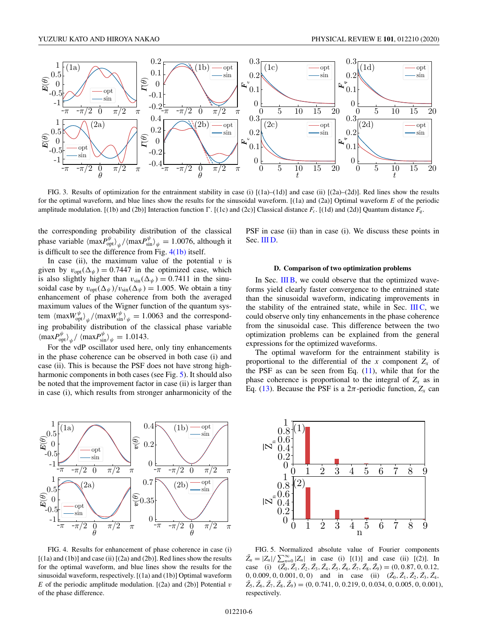<span id="page-5-0"></span>

FIG. 3. Results of optimization for the entrainment stability in case (i)  $[(1a)–(1d)]$  and case (ii)  $[(2a)–(2d)]$ . Red lines show the results for the optimal waveform, and blue lines show the results for the sinusoidal waveform. [(1a) and (2a)] Optimal waveform *E* of the periodic amplitude modulation. [(1b) and (2b)] Interaction function  $\Gamma$ . [(1c) and (2c)] Classical distance  $F_c$ . [(1d) and (2d)] Quantum distance  $F_q$ .

the corresponding probability distribution of the classical phase variable  $\langle \max P_{\text{opt}}^{\psi} \rangle_{\psi} / \langle \max P_{\text{sin}}^{\psi} \rangle_{\psi} = 1.0076$ , although it is difficult to see the difference from Fig. 4(1b) itself.

In case (ii), the maximum value of the potential  $v$  is given by  $v_{opt}(\Delta_{\psi}) = 0.7447$  in the optimized case, which is also slightly higher than  $v_{\sin}(\Delta_{\psi}) = 0.7411$  in the sinusoidal case by  $v_{\text{opt}}(\Delta_{\psi})/v_{\text{sin}}(\Delta_{\psi}) = 1.005$ . We obtain a tiny enhancement of phase coherence from both the averaged maximum values of the Wigner function of the quantum system  $\langle \max W_{\text{opt}}^{\psi} \rangle_{\psi} / \langle \max W_{\text{sin}}^{\psi} \rangle_{\psi} = 1.0063$  and the corresponding probability distribution of the classical phase variable  $\langle \text{max} P_{\text{opt}}^{\psi} \rangle_{\psi} / \langle \text{max} P_{\text{sin}}^{\psi} \rangle_{\psi} = 1.0143.$ 

For the vdP oscillator used here, only tiny enhancements in the phase coherence can be observed in both case (i) and case (ii). This is because the PSF does not have strong highharmonic components in both cases (see Fig. 5). It should also be noted that the improvement factor in case (ii) is larger than in case (i), which results from stronger anharmonicity of the PSF in case (ii) than in case (i). We discuss these points in Sec. III D.

#### **D. Comparison of two optimization problems**

In Sec. [III B,](#page-4-0) we could observe that the optimized waveforms yield clearly faster convergence to the entrained state than the sinusoidal waveform, indicating improvements in the stability of the entrained state, while in Sec.  $IIIC$ , we could observe only tiny enhancements in the phase coherence from the sinusoidal case. This difference between the two optimization problems can be explained from the general expressions for the optimized waveforms.

The optimal waveform for the entrainment stability is proportional to the differential of the  $x$  component  $Z_x$  of the PSF as can be seen from Eq.  $(11)$ , while that for the phase coherence is proportional to the integral of  $Z_x$  as in Eq. [\(13\)](#page-3-0). Because the PSF is a  $2\pi$ -periodic function,  $Z_x$  can



FIG. 4. Results for enhancement of phase coherence in case (i)  $[(1a)$  and  $(1b)]$  and case  $(ii)$   $[(2a)$  and  $(2b)]$ . Red lines show the results for the optimal waveform, and blue lines show the results for the sinusoidal waveform, respectively. [(1a) and (1b)] Optimal waveform *E* of the periodic amplitude modulation. [(2a) and (2b)] Potential *v* of the phase difference.



FIG. 5. Normalized absolute value of Fourier components  $\bar{Z}_n = |Z_n| / \sum_{n=0}^{\infty} |Z_n|$  in case (i) [(1)] and case (ii) [(2)]. In case (i)  $(\overline{Z}_0, \overline{Z}_1, \overline{Z}_2, \overline{Z}_3, \overline{Z}_4, \overline{Z}_5, \overline{Z}_6, \overline{Z}_7, \overline{Z}_8, \overline{Z}_9) = (0, 0.87, 0, 0.12,$  $0, 0.009, 0, 0.001, 0, 0)$  and in case (ii)  $(\bar{Z}_0, \bar{Z}_1, \bar{Z}_2, \bar{Z}_3, \bar{Z}_4,$  $\bar{Z}_5$ ,  $\bar{Z}_6$ ,  $\bar{Z}_7$ ,  $\bar{Z}_8$ ,  $\bar{Z}_9$ ) = (0, 0.741, 0, 0.219, 0, 0.034, 0, 0.005, 0, 0.001), respectively.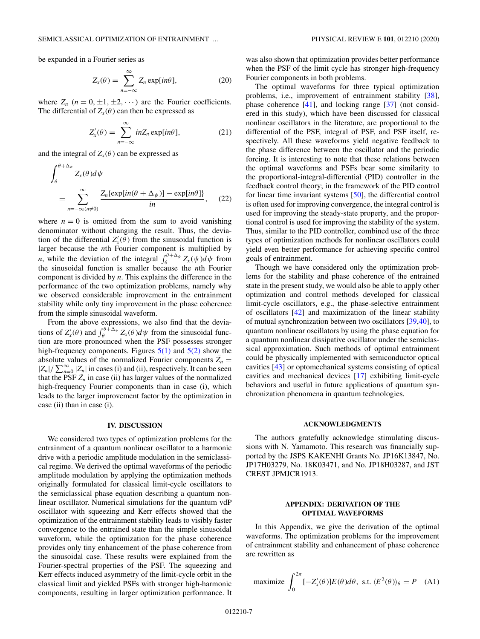<span id="page-6-0"></span>be expanded in a Fourier series as

$$
Z_x(\theta) = \sum_{n=-\infty}^{\infty} Z_n \exp[i n \theta], \qquad (20)
$$

where  $Z_n$   $(n = 0, \pm 1, \pm 2, \cdots)$  are the Fourier coefficients. The differential of  $Z_x(\theta)$  can then be expressed as

$$
Z'_x(\theta) = \sum_{n=-\infty}^{\infty} inZ_n \exp[i n \theta], \qquad (21)
$$

and the integral of  $Z_x(\theta)$  can be expressed as

$$
\int_{\theta}^{\theta + \Delta_{\psi}} Z_{x}(\theta) d\psi
$$
\n
$$
= \sum_{n=-\infty(n \neq 0)}^{\infty} \frac{Z_{n} \{ \exp[i n(\theta + \Delta_{\psi})] - \exp[i n \theta] \}}{in}, \quad (22)
$$

where  $n = 0$  is omitted from the sum to avoid vanishing denominator without changing the result. Thus, the deviation of the differential  $Z'_x(\theta)$  from the sinusoidal function is larger because the *n*th Fourier component is multiplied by *n*, while the deviation of the integral  $\int_{\theta}^{\theta+\Delta_{\psi}} Z_x(\psi) d\psi$  from the sinusoidal function is smaller because the *n*th Fourier component is divided by *n*. This explains the difference in the performance of the two optimization problems, namely why we observed considerable improvement in the entrainment stability while only tiny improvement in the phase coherence from the simple sinusoidal waveform.

From the above expressions, we also find that the deviations of  $Z'_x(\theta)$  and  $\int_{\theta}^{\theta+\Delta_{\psi}} Z_x(\theta) d\psi$  from the sinusoidal function are more pronounced when the PSF possesses stronger high-frequency components. Figures  $5(1)$  and  $5(2)$  show the absolute values of the normalized Fourier components  $\bar{Z}_n =$  $|Z_n|/\sum_{n=0}^{\infty} |Z_n|$  in cases (i) and (ii), respectively. It can be seen that the PSF  $\bar{Z}_n$  in case (ii) has larger values of the normalized high-frequency Fourier components than in case (i), which leads to the larger improvement factor by the optimization in case (ii) than in case (i).

### **IV. DISCUSSION**

We considered two types of optimization problems for the entrainment of a quantum nonlinear oscillator to a harmonic drive with a periodic amplitude modulation in the semiclassical regime. We derived the optimal waveforms of the periodic amplitude modulation by applying the optimization methods originally formulated for classical limit-cycle oscillators to the semiclassical phase equation describing a quantum nonlinear oscillator. Numerical simulations for the quantum vdP oscillator with squeezing and Kerr effects showed that the optimization of the entrainment stability leads to visibly faster convergence to the entrained state than the simple sinusoidal waveform, while the optimization for the phase coherence provides only tiny enhancement of the phase coherence from the sinusoidal case. These results were explained from the Fourier-spectral properties of the PSF. The squeezing and Kerr effects induced asymmetry of the limit-cycle orbit in the classical limit and yielded PSFs with stronger high-harmonic components, resulting in larger optimization performance. It

was also shown that optimization provides better performance when the PSF of the limit cycle has stronger high-frequency Fourier components in both problems.

The optimal waveforms for three typical optimization problems, i.e., improvement of entrainment stability [\[38\]](#page-8-0), phase coherence [\[41\]](#page-8-0), and locking range [\[37\]](#page-8-0) (not considered in this study), which have been discussed for classical nonlinear oscillators in the literature, are proportional to the differential of the PSF, integral of PSF, and PSF itself, respectively. All these waveforms yield negative feedback to the phase difference between the oscillator and the periodic forcing. It is interesting to note that these relations between the optimal waveforms and PSFs bear some similarity to the proportional-integral-differential (PID) controller in the feedback control theory; in the framework of the PID control for linear time invariant systems [\[50\]](#page-8-0), the differential control is often used for improving convergence, the integral control is used for improving the steady-state property, and the proportional control is used for improving the stability of the system. Thus, similar to the PID controller, combined use of the three types of optimization methods for nonlinear oscillators could yield even better performance for achieving specific control goals of entrainment.

Though we have considered only the optimization problems for the stability and phase coherence of the entrained state in the present study, we would also be able to apply other optimization and control methods developed for classical limit-cycle oscillators, e.g., the phase-selective entrainment of oscillators [\[42\]](#page-8-0) and maximization of the linear stability of mutual synchronization between two oscillators [\[39,40\]](#page-8-0), to quantum nonlinear oscillators by using the phase equation for a quantum nonlinear dissipative oscillator under the semiclassical approximation. Such methods of optimal entrainment could be physically implemented with semiconductor optical cavities [\[43\]](#page-8-0) or optomechanical systems consisting of optical cavities and mechanical devices [\[17\]](#page-7-0) exhibiting limit-cycle behaviors and useful in future applications of quantum synchronization phenomena in quantum technologies.

# **ACKNOWLEDGMENTS**

The authors gratefully acknowledge stimulating discussions with N. Yamamoto. This research was financially supported by the JSPS KAKENHI Grants No. JP16K13847, No. JP17H03279, No. 18K03471, and No. JP18H03287, and JST CREST JPMJCR1913.

### **APPENDIX: DERIVATION OF THE OPTIMAL WAVEFORMS**

In this Appendix, we give the derivation of the optimal waveforms. The optimization problems for the improvement of entrainment stability and enhancement of phase coherence are rewritten as

maximize 
$$
\int_0^{2\pi} [-Z'_x(\theta)] E(\theta) d\theta
$$
, s.t.  $\langle E^2(\theta) \rangle_\theta = P$  (A1)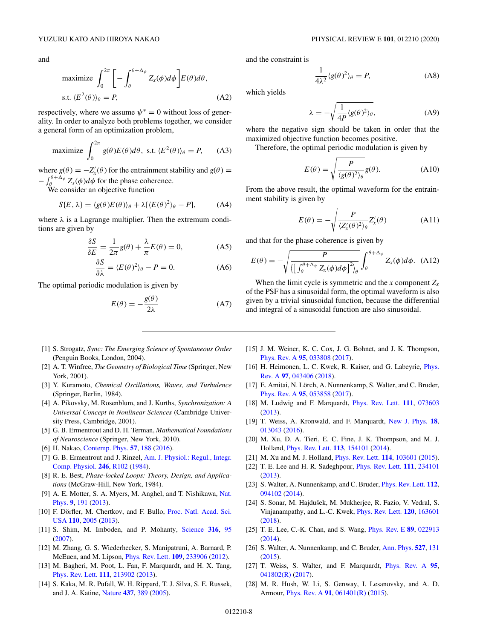<span id="page-7-0"></span>and

maximize 
$$
\int_0^{2\pi} \left[ -\int_{\theta}^{\theta + \Delta_{\psi}} Z_x(\phi) d\phi \right] E(\theta) d\theta
$$
,  
s.t.  $\langle E^2(\theta) \rangle_{\theta} = P$ , (A2)

respectively, where we assume  $\psi^* = 0$  without loss of generality. In order to analyze both problems together, we consider a general form of an optimization problem,

maximize 
$$
\int_0^{2\pi} g(\theta) E(\theta) d\theta
$$
, s.t.  $\langle E^2(\theta) \rangle_\theta = P$ , (A3)

where  $g(\theta) = -Z'_x(\theta)$  for the entrainment stability and  $g(\theta) =$  $-\int_{\theta}^{\theta+\Delta_{\psi}} Z_x(\phi) d\phi$  for the phase coherence.

We consider an objective function

$$
S\{E,\lambda\} = \langle g(\theta)E(\theta)\rangle_{\theta} + \lambda[\langle E(\theta)^{2}\rangle_{\theta} - P], \quad (A4)
$$

where  $\lambda$  is a Lagrange multiplier. Then the extremum conditions are given by

$$
\frac{\delta S}{\delta E} = \frac{1}{2\pi}g(\theta) + \frac{\lambda}{\pi}E(\theta) = 0,
$$
 (A5)

$$
\frac{\partial S}{\partial \lambda} = \langle E(\theta)^2 \rangle_{\theta} - P = 0. \tag{A6}
$$

The optimal periodic modulation is given by

$$
E(\theta) = -\frac{g(\theta)}{2\lambda}
$$
 (A7)

- [1] S. Strogatz, *Sync: The Emerging Science of Spontaneous Order* (Penguin Books, London, 2004).
- [2] A. T. Winfree, *The Geometry of Biological Time* (Springer, New York, 2001).
- [3] Y. Kuramoto, *Chemical Oscillations, Waves, and Turbulence* (Springer, Berlin, 1984).
- [4] A. Pikovsky, M. Rosenblum, and J. Kurths, *Synchronization: A Universal Concept in Nonlinear Sciences* (Cambridge University Press, Cambridge, 2001).
- [5] G. B. Ermentrout and D. H. Terman, *Mathematical Foundations of Neuroscience* (Springer, New York, 2010).
- [6] H. Nakao, [Contemp. Phys.](https://doi.org/10.1080/00107514.2015.1094987) **[57](https://doi.org/10.1080/00107514.2015.1094987)**, [188](https://doi.org/10.1080/00107514.2015.1094987) [\(2016\)](https://doi.org/10.1080/00107514.2015.1094987).
- [7] [G. B. Ermentrout and J. Rinzel,](https://doi.org/10.1152/ajpregu.1984.246.1.R102) Am. J. Physiol.: Regul., Integr. Comp. Physiol. **[246](https://doi.org/10.1152/ajpregu.1984.246.1.R102)**, [R102](https://doi.org/10.1152/ajpregu.1984.246.1.R102) [\(1984\)](https://doi.org/10.1152/ajpregu.1984.246.1.R102).
- [8] R. E. Best, *Phase-locked Loops: Theory, Design, and Applications* (McGraw-Hill, New York, 1984).
- [9] [A. E. Motter, S. A. Myers, M. Anghel, and T. Nishikawa,](https://doi.org/10.1038/nphys2535) Nat. Phys. **[9](https://doi.org/10.1038/nphys2535)**, [191](https://doi.org/10.1038/nphys2535) [\(2013\)](https://doi.org/10.1038/nphys2535).
- [10] [F. Dörfler, M. Chertkov, and F. Bullo,](https://doi.org/10.1073/pnas.1212134110) Proc. Natl. Acad. Sci. USA **[110](https://doi.org/10.1073/pnas.1212134110)**, [2005](https://doi.org/10.1073/pnas.1212134110) [\(2013\)](https://doi.org/10.1073/pnas.1212134110).
- [11] S. Shim, M. Imboden, and P. Mohanty, [Science](https://doi.org/10.1126/science.1137307) **[316](https://doi.org/10.1126/science.1137307)**, [95](https://doi.org/10.1126/science.1137307) [\(2007\)](https://doi.org/10.1126/science.1137307).
- [12] M. Zhang, G. S. Wiederhecker, S. Manipatruni, A. Barnard, P. McEuen, and M. Lipson, [Phys. Rev. Lett.](https://doi.org/10.1103/PhysRevLett.109.233906) **[109](https://doi.org/10.1103/PhysRevLett.109.233906)**, [233906](https://doi.org/10.1103/PhysRevLett.109.233906) [\(2012\)](https://doi.org/10.1103/PhysRevLett.109.233906).
- [13] M. Bagheri, M. Poot, L. Fan, F. Marquardt, and H. X. Tang, [Phys. Rev. Lett.](https://doi.org/10.1103/PhysRevLett.111.213902) **[111](https://doi.org/10.1103/PhysRevLett.111.213902)**, [213902](https://doi.org/10.1103/PhysRevLett.111.213902) [\(2013\)](https://doi.org/10.1103/PhysRevLett.111.213902).
- [14] S. Kaka, M. R. Pufall, W. H. Rippard, T. J. Silva, S. E. Russek, and J. A. Katine, [Nature](https://doi.org/10.1038/nature04035) **[437](https://doi.org/10.1038/nature04035)**, [389](https://doi.org/10.1038/nature04035) [\(2005\)](https://doi.org/10.1038/nature04035).

and the constraint is

$$
\frac{1}{4\lambda^2} \langle g(\theta)^2 \rangle_{\theta} = P,\tag{A8}
$$

which yields

$$
\lambda = -\sqrt{\frac{1}{4P} \langle g(\theta)^2 \rangle_{\theta}}, \tag{A9}
$$

where the negative sign should be taken in order that the maximized objective function becomes positive.

Therefore, the optimal periodic modulation is given by

$$
E(\theta) = \sqrt{\frac{P}{\langle g(\theta)^2 \rangle_{\theta}}} g(\theta). \tag{A10}
$$

From the above result, the optimal waveform for the entrainment stability is given by

$$
E(\theta) = -\sqrt{\frac{P}{\langle Z'_x(\theta)^2 \rangle_{\theta}}} Z'_x(\theta) \tag{A11}
$$

and that for the phase coherence is given by

$$
E(\theta) = -\sqrt{\frac{P}{\left(\left[\int_{\theta}^{\theta+\Delta_{\psi}} Z_{x}(\phi) d\phi\right]^{2}\right)_{\theta}}}\int_{\theta}^{\theta+\Delta_{\psi}} Z_{x}(\phi) d\phi.
$$
 (A12)

When the limit cycle is symmetric and the *x* component  $Z_x$ of the PSF has a sinusoidal form, the optimal waveform is also given by a trivial sinusoidal function, because the differential and integral of a sinusoidal function are also sinusoidal.

- [15] J. M. Weiner, K. C. Cox, J. G. Bohnet, and J. K. Thompson, [Phys. Rev. A](https://doi.org/10.1103/PhysRevA.95.033808) **[95](https://doi.org/10.1103/PhysRevA.95.033808)**, [033808](https://doi.org/10.1103/PhysRevA.95.033808) [\(2017\)](https://doi.org/10.1103/PhysRevA.95.033808).
- [16] [H. Heimonen, L. C. Kwek, R. Kaiser, and G. Labeyrie,](https://doi.org/10.1103/PhysRevA.97.043406) *Phys.* Rev. A **[97](https://doi.org/10.1103/PhysRevA.97.043406)**, [043406](https://doi.org/10.1103/PhysRevA.97.043406) [\(2018\)](https://doi.org/10.1103/PhysRevA.97.043406).
- [17] E. Amitai, N. Lörch, A. Nunnenkamp, S. Walter, and C. Bruder, [Phys. Rev. A](https://doi.org/10.1103/PhysRevA.95.053858) **[95](https://doi.org/10.1103/PhysRevA.95.053858)**, [053858](https://doi.org/10.1103/PhysRevA.95.053858) [\(2017\)](https://doi.org/10.1103/PhysRevA.95.053858).
- [18] M. Ludwig and F. Marquardt, [Phys. Rev. Lett.](https://doi.org/10.1103/PhysRevLett.111.073603) **[111](https://doi.org/10.1103/PhysRevLett.111.073603)**, [073603](https://doi.org/10.1103/PhysRevLett.111.073603) [\(2013\)](https://doi.org/10.1103/PhysRevLett.111.073603).
- [19] T. Weiss, A. Kronwald, and F. Marquardt, [New J. Phys.](https://doi.org/10.1088/1367-2630/18/1/013043) **[18](https://doi.org/10.1088/1367-2630/18/1/013043)**, [013043](https://doi.org/10.1088/1367-2630/18/1/013043) [\(2016\)](https://doi.org/10.1088/1367-2630/18/1/013043).
- [20] M. Xu, D. A. Tieri, E. C. Fine, J. K. Thompson, and M. J. Holland, [Phys. Rev. Lett.](https://doi.org/10.1103/PhysRevLett.113.154101) **[113](https://doi.org/10.1103/PhysRevLett.113.154101)**, [154101](https://doi.org/10.1103/PhysRevLett.113.154101) [\(2014\)](https://doi.org/10.1103/PhysRevLett.113.154101).
- [21] M. Xu and M. J. Holland, [Phys. Rev. Lett.](https://doi.org/10.1103/PhysRevLett.114.103601) **[114](https://doi.org/10.1103/PhysRevLett.114.103601)**, [103601](https://doi.org/10.1103/PhysRevLett.114.103601) [\(2015\)](https://doi.org/10.1103/PhysRevLett.114.103601).
- [22] T. E. Lee and H. R. Sadeghpour, [Phys. Rev. Lett.](https://doi.org/10.1103/PhysRevLett.111.234101) **[111](https://doi.org/10.1103/PhysRevLett.111.234101)**, [234101](https://doi.org/10.1103/PhysRevLett.111.234101)
- [\(2013\)](https://doi.org/10.1103/PhysRevLett.111.234101). [23] S. Walter, A. Nunnenkamp, and C. Bruder, [Phys. Rev. Lett.](https://doi.org/10.1103/PhysRevLett.112.094102) **[112](https://doi.org/10.1103/PhysRevLett.112.094102)**, [094102](https://doi.org/10.1103/PhysRevLett.112.094102) [\(2014\)](https://doi.org/10.1103/PhysRevLett.112.094102).
- [24] S. Sonar, M. Hajdušek, M. Mukherjee, R. Fazio, V. Vedral, S. Vinjanampathy, and L.-C. Kwek, [Phys. Rev. Lett.](https://doi.org/10.1103/PhysRevLett.120.163601) **[120](https://doi.org/10.1103/PhysRevLett.120.163601)**, [163601](https://doi.org/10.1103/PhysRevLett.120.163601) [\(2018\)](https://doi.org/10.1103/PhysRevLett.120.163601).
- [25] T. E. Lee, C.-K. Chan, and S. Wang, [Phys. Rev. E](https://doi.org/10.1103/PhysRevE.89.022913) **[89](https://doi.org/10.1103/PhysRevE.89.022913)**, [022913](https://doi.org/10.1103/PhysRevE.89.022913) [\(2014\)](https://doi.org/10.1103/PhysRevE.89.022913).
- [26] S. Walter, A. Nunnenkamp, and C. Bruder, [Ann. Phys.](https://doi.org/10.1002/andp.201400144) **[527](https://doi.org/10.1002/andp.201400144)**, [131](https://doi.org/10.1002/andp.201400144) [\(2015\)](https://doi.org/10.1002/andp.201400144).
- [27] T. Weiss, S. Walter, and F. Marquardt, [Phys. Rev. A](https://doi.org/10.1103/PhysRevA.95.041802) **[95](https://doi.org/10.1103/PhysRevA.95.041802)**, [041802\(R\)](https://doi.org/10.1103/PhysRevA.95.041802) [\(2017\)](https://doi.org/10.1103/PhysRevA.95.041802).
- [28] M. R. Hush, W. Li, S. Genway, I. Lesanovsky, and A. D. Armour, [Phys. Rev. A](https://doi.org/10.1103/PhysRevA.91.061401) **[91](https://doi.org/10.1103/PhysRevA.91.061401)**, [061401\(R\)](https://doi.org/10.1103/PhysRevA.91.061401) [\(2015\)](https://doi.org/10.1103/PhysRevA.91.061401).